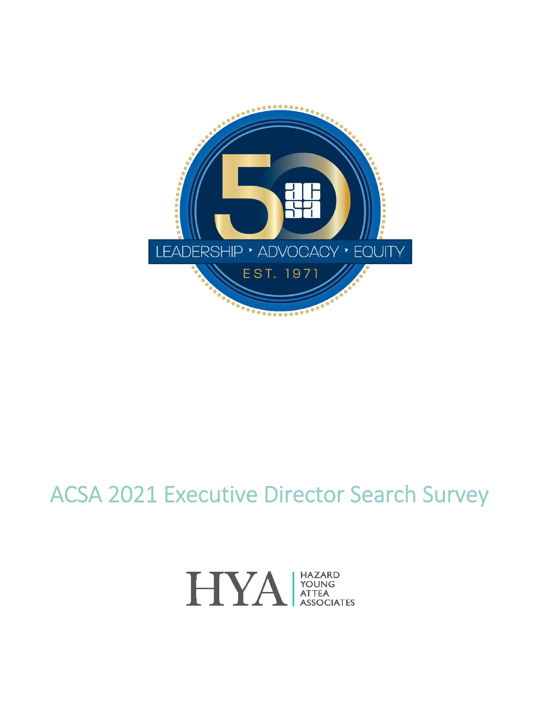

# ACSA 2021 Executive Director Search Survey

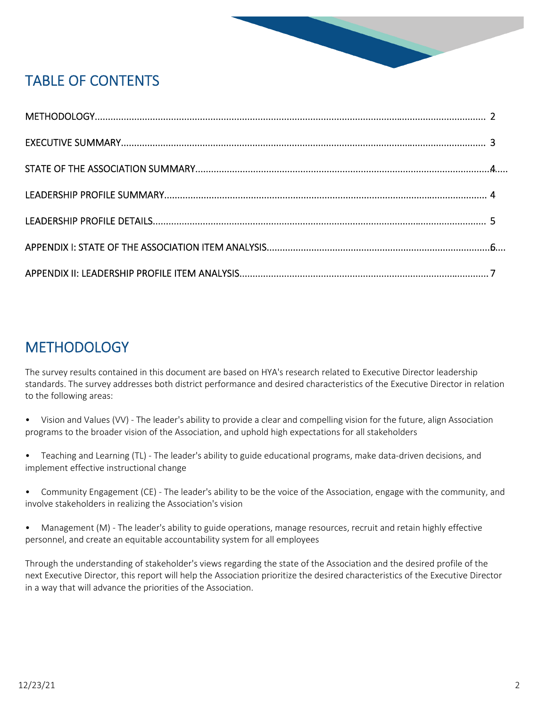

# TABLE OF CONTENTS

# **METHODOLOGY**

The survey results contained in this document are based on HYA's research related to Executive Director leadership standards. The survey addresses both district performance and desired characteristics of the Executive Director in relation to the following areas:

- Vision and Values (VV) The leader's ability to provide a clear and compelling vision for the future, align Association programs to the broader vision of the Association, and uphold high expectations for all stakeholders
- Teaching and Learning (TL) The leader's ability to guide educational programs, make data-driven decisions, and implement effective instructional change
- Community Engagement (CE) The leader's ability to be the voice of the Association, engage with the community, and involve stakeholders in realizing the Association's vision
- Management (M) The leader's ability to guide operations, manage resources, recruit and retain highly effective personnel, and create an equitable accountability system for all employees

Through the understanding of stakeholder's views regarding the state of the Association and the desired profile of the next Executive Director, this report will help the Association prioritize the desired characteristics of the Executive Director in a way that will advance the priorities of the Association.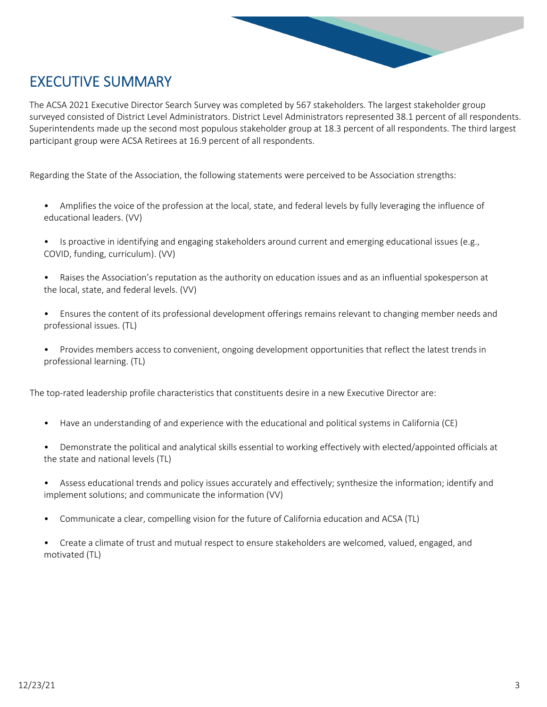

# EXECUTIVE SUMMARY

The ACSA 2021 Executive Director Search Survey was completed by 567 stakeholders. The largest stakeholder group surveyed consisted of District Level Administrators. District Level Administrators represented 38.1 percent of all respondents. Superintendents made up the second most populous stakeholder group at 18.3 percent of all respondents. The third largest participant group were ACSA Retirees at 16.9 percent of all respondents.

Regarding the State of the Association, the following statements were perceived to be Association strengths:

- Amplifies the voice of the profession at the local, state, and federal levels by fully leveraging the influence of educational leaders. (VV)
- Is proactive in identifying and engaging stakeholders around current and emerging educational issues (e.g., COVID, funding, curriculum). (VV)
- Raises the Association's reputation as the authority on education issues and as an influential spokesperson at the local, state, and federal levels. (VV)
- Ensures the content of its professional development offerings remains relevant to changing member needs and professional issues. (TL)
- Provides members access to convenient, ongoing development opportunities that reflect the latest trends in professional learning. (TL)

The top-rated leadership profile characteristics that constituents desire in a new Executive Director are:

- Have an understanding of and experience with the educational and political systems in California (CE)
- Demonstrate the political and analytical skills essential to working effectively with elected/appointed officials at the state and national levels (TL)
- Assess educational trends and policy issues accurately and effectively; synthesize the information; identify and implement solutions; and communicate the information (VV)
- Communicate a clear, compelling vision for the future of California education and ACSA (TL)
- Create a climate of trust and mutual respect to ensure stakeholders are welcomed, valued, engaged, and motivated (TL)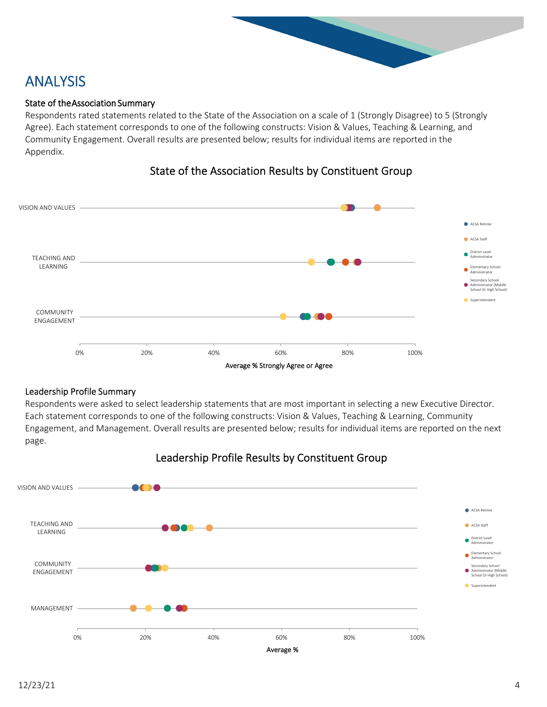### ANALYSIS

#### State of the Association Summary

Respondents rated statements related to the State of the Association on a scale of 1 (Strongly Disagree) to 5 (Strongly Agree). Each statement corresponds to one of the following constructs: Vision & Values, Teaching & Learning, and Community Engagement. Overall results are presented below; results for individual items are reported in the Appendix.



#### State of the Association Results by Constituent Group

#### Leadership Profile Summary

Respondents were asked to select leadership statements that are most important in selecting a new Executive Director. Each statement corresponds to one of the following constructs: Vision & Values, Teaching & Learning, Community Engagement, and Management. Overall results are presented below; results for individual items are reported on the next page.



#### Leadership Profile Results by Constituent Group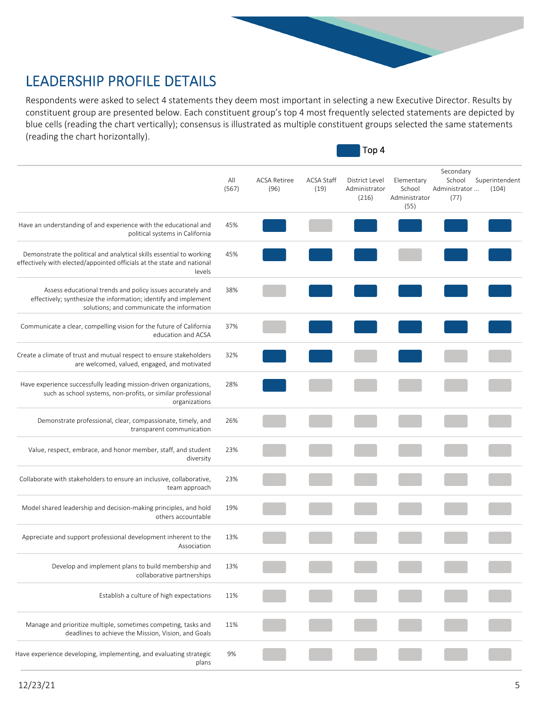# LEADERSHIP PROFILE DETAILS

Respondents were asked to select 4 statements they deem most important in selecting a new Executive Director. Results by constituent group are presented below. Each constituent group's top 4 most frequently selected statements are depicted by blue cells (reading the chart vertically); consensus is illustrated as multiple constituent groups selected the same statements (reading the chart horizontally).

 $\blacksquare$  Top 4

|                                                                                                                                                                             | All<br>(567) | <b>ACSA Retiree</b><br>(96) | <b>ACSA Staff</b><br>(19) | District Level<br>Administrator<br>(216) | Elementary<br>School<br>Administrator<br>(55) | Secondary<br>School<br>Administrator<br>(77) | Superintendent<br>(104) |
|-----------------------------------------------------------------------------------------------------------------------------------------------------------------------------|--------------|-----------------------------|---------------------------|------------------------------------------|-----------------------------------------------|----------------------------------------------|-------------------------|
| Have an understanding of and experience with the educational and<br>political systems in California                                                                         | 45%          |                             |                           |                                          |                                               |                                              |                         |
| Demonstrate the political and analytical skills essential to working<br>effectively with elected/appointed officials at the state and national<br>levels                    | 45%          |                             |                           |                                          |                                               |                                              |                         |
| Assess educational trends and policy issues accurately and<br>effectively; synthesize the information; identify and implement<br>solutions; and communicate the information | 38%          |                             |                           |                                          |                                               |                                              |                         |
| Communicate a clear, compelling vision for the future of California<br>education and ACSA                                                                                   | 37%          |                             |                           |                                          |                                               |                                              |                         |
| Create a climate of trust and mutual respect to ensure stakeholders<br>are welcomed, valued, engaged, and motivated                                                         | 32%          |                             |                           |                                          |                                               |                                              |                         |
| Have experience successfully leading mission-driven organizations,<br>such as school systems, non-profits, or similar professional<br>organizations                         | 28%          |                             |                           |                                          |                                               |                                              |                         |
| Demonstrate professional, clear, compassionate, timely, and<br>transparent communication                                                                                    | 26%          |                             |                           |                                          |                                               |                                              |                         |
| Value, respect, embrace, and honor member, staff, and student<br>diversity                                                                                                  | 23%          |                             |                           |                                          |                                               |                                              |                         |
| Collaborate with stakeholders to ensure an inclusive, collaborative,<br>team approach                                                                                       | 23%          |                             |                           |                                          |                                               |                                              |                         |
| Model shared leadership and decision-making principles, and hold<br>others accountable                                                                                      | 19%          |                             |                           |                                          |                                               |                                              |                         |
| Appreciate and support professional development inherent to the<br>Association                                                                                              | 13%          |                             |                           |                                          |                                               |                                              |                         |
| Develop and implement plans to build membership and<br>collaborative partnerships                                                                                           | 13%          |                             |                           |                                          |                                               |                                              |                         |
| Establish a culture of high expectations                                                                                                                                    | 11%          |                             |                           |                                          |                                               |                                              |                         |
| Manage and prioritize multiple, sometimes competing, tasks and<br>deadlines to achieve the Mission, Vision, and Goals                                                       | 11%          |                             |                           |                                          |                                               |                                              |                         |
| Have experience developing, implementing, and evaluating strategic<br>plans                                                                                                 | 9%           |                             |                           |                                          |                                               |                                              |                         |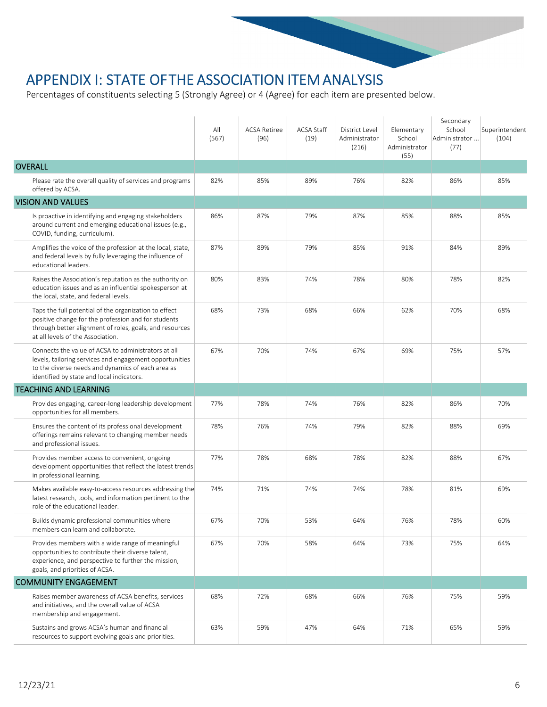### APPENDIX I: STATE OF THE ASSOCIATION ITEM ANALYSIS

Percentages of constituents selecting 5 (Strongly Agree) or 4 (Agree) for each item are presented below.

|                                                                                                                                                                                                                  | All<br>(567) | <b>ACSA Retiree</b><br>(96) | <b>ACSA Staff</b><br>(19) | District Level<br>Administrator<br>(216) | Elementary<br>School<br>Administrator<br>(55) | Secondary<br>School<br>Administrator<br>(77) | Superintendent<br>(104) |
|------------------------------------------------------------------------------------------------------------------------------------------------------------------------------------------------------------------|--------------|-----------------------------|---------------------------|------------------------------------------|-----------------------------------------------|----------------------------------------------|-------------------------|
| <b>OVERALL</b>                                                                                                                                                                                                   |              |                             |                           |                                          |                                               |                                              |                         |
| Please rate the overall quality of services and programs<br>offered by ACSA.                                                                                                                                     | 82%          | 85%                         | 89%                       | 76%                                      | 82%                                           | 86%                                          | 85%                     |
| <b>VISION AND VALUES</b>                                                                                                                                                                                         |              |                             |                           |                                          |                                               |                                              |                         |
| Is proactive in identifying and engaging stakeholders<br>around current and emerging educational issues (e.g.,<br>COVID, funding, curriculum).                                                                   | 86%          | 87%                         | 79%                       | 87%                                      | 85%                                           | 88%                                          | 85%                     |
| Amplifies the voice of the profession at the local, state,<br>and federal levels by fully leveraging the influence of<br>educational leaders.                                                                    | 87%          | 89%                         | 79%                       | 85%                                      | 91%                                           | 84%                                          | 89%                     |
| Raises the Association's reputation as the authority on<br>education issues and as an influential spokesperson at<br>the local, state, and federal levels.                                                       | 80%          | 83%                         | 74%                       | 78%                                      | 80%                                           | 78%                                          | 82%                     |
| Taps the full potential of the organization to effect<br>positive change for the profession and for students<br>through better alignment of roles, goals, and resources<br>at all levels of the Association.     | 68%          | 73%                         | 68%                       | 66%                                      | 62%                                           | 70%                                          | 68%                     |
| Connects the value of ACSA to administrators at all<br>levels, tailoring services and engagement opportunities<br>to the diverse needs and dynamics of each area as<br>identified by state and local indicators. | 67%          | 70%                         | 74%                       | 67%                                      | 69%                                           | 75%                                          | 57%                     |
| <b>TEACHING AND LEARNING</b>                                                                                                                                                                                     |              |                             |                           |                                          |                                               |                                              |                         |
| Provides engaging, career-long leadership development<br>opportunities for all members.                                                                                                                          | 77%          | 78%                         | 74%                       | 76%                                      | 82%                                           | 86%                                          | 70%                     |
| Ensures the content of its professional development<br>offerings remains relevant to changing member needs<br>and professional issues.                                                                           | 78%          | 76%                         | 74%                       | 79%                                      | 82%                                           | 88%                                          | 69%                     |
| Provides member access to convenient, ongoing<br>development opportunities that reflect the latest trends<br>in professional learning.                                                                           | 77%          | 78%                         | 68%                       | 78%                                      | 82%                                           | 88%                                          | 67%                     |
| Makes available easy-to-access resources addressing the<br>latest research, tools, and information pertinent to the<br>role of the educational leader.                                                           | 74%          | 71%                         | 74%                       | 74%                                      | 78%                                           | 81%                                          | 69%                     |
| Builds dynamic professional communities where<br>members can learn and collaborate.                                                                                                                              | 67%          | 70%                         | 53%                       | 64%                                      | 76%                                           | 78%                                          | 60%                     |
| Provides members with a wide range of meaningful<br>opportunities to contribute their diverse talent,<br>experience, and perspective to further the mission,<br>goals, and priorities of ACSA.                   | 67%          | 70%                         | 58%                       | 64%                                      | 73%                                           | 75%                                          | 64%                     |
| <b>COMMUNITY ENGAGEMENT</b>                                                                                                                                                                                      |              |                             |                           |                                          |                                               |                                              |                         |
| Raises member awareness of ACSA benefits, services<br>and initiatives, and the overall value of ACSA<br>membership and engagement.                                                                               | 68%          | 72%                         | 68%                       | 66%                                      | 76%                                           | 75%                                          | 59%                     |
| Sustains and grows ACSA's human and financial<br>resources to support evolving goals and priorities.                                                                                                             | 63%          | 59%                         | 47%                       | 64%                                      | 71%                                           | 65%                                          | 59%                     |